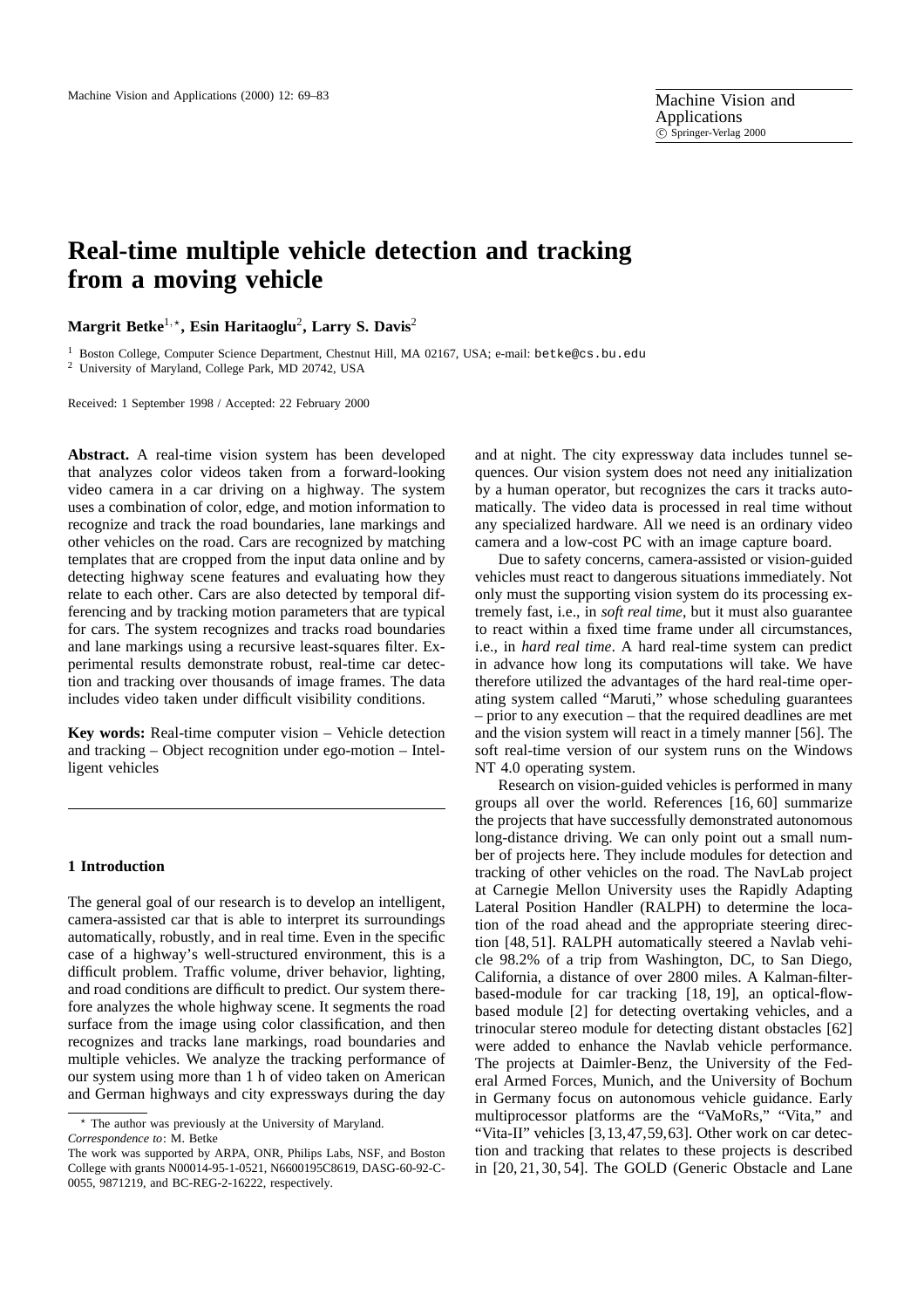# **Real-time multiple vehicle detection and tracking from a moving vehicle**

**Margrit Betke**<sup>1</sup>,-**, Esin Haritaoglu**<sup>2</sup>**, Larry S. Davis**<sup>2</sup>

<sup>1</sup> Boston College, Computer Science Department, Chestnut Hill, MA 02167, USA; e-mail: betke@cs.bu.edu <sup>2</sup> University of Maryland, College Park, MD 20742, USA

Received: 1 September 1998 / Accepted: 22 February 2000

**Abstract.** A real-time vision system has been developed that analyzes color videos taken from a forward-looking video camera in a car driving on a highway. The system uses a combination of color, edge, and motion information to recognize and track the road boundaries, lane markings and other vehicles on the road. Cars are recognized by matching templates that are cropped from the input data online and by detecting highway scene features and evaluating how they relate to each other. Cars are also detected by temporal differencing and by tracking motion parameters that are typical for cars. The system recognizes and tracks road boundaries and lane markings using a recursive least-squares filter. Experimental results demonstrate robust, real-time car detection and tracking over thousands of image frames. The data includes video taken under difficult visibility conditions.

**Key words:** Real-time computer vision – Vehicle detection and tracking – Object recognition under ego-motion – Intelligent vehicles

# **1 Introduction**

The general goal of our research is to develop an intelligent, camera-assisted car that is able to interpret its surroundings automatically, robustly, and in real time. Even in the specific case of a highway's well-structured environment, this is a difficult problem. Traffic volume, driver behavior, lighting, and road conditions are difficult to predict. Our system therefore analyzes the whole highway scene. It segments the road surface from the image using color classification, and then recognizes and tracks lane markings, road boundaries and multiple vehicles. We analyze the tracking performance of our system using more than 1 h of video taken on American and German highways and city expressways during the day

 $*$  The author was previously at the University of Maryland. *Correspondence to*: M. Betke

The work was supported by ARPA, ONR, Philips Labs, NSF, and Boston College with grants N00014-95-1-0521, N6600195C8619, DASG-60-92-C-0055, 9871219, and BC-REG-2-16222, respectively.

and at night. The city expressway data includes tunnel sequences. Our vision system does not need any initialization by a human operator, but recognizes the cars it tracks automatically. The video data is processed in real time without any specialized hardware. All we need is an ordinary video camera and a low-cost PC with an image capture board.

Due to safety concerns, camera-assisted or vision-guided vehicles must react to dangerous situations immediately. Not only must the supporting vision system do its processing extremely fast, i.e., in *soft real time*, but it must also guarantee to react within a fixed time frame under all circumstances, i.e., in *hard real time*. A hard real-time system can predict in advance how long its computations will take. We have therefore utilized the advantages of the hard real-time operating system called "Maruti," whose scheduling guarantees – prior to any execution – that the required deadlines are met and the vision system will react in a timely manner [56]. The soft real-time version of our system runs on the Windows NT 4.0 operating system.

Research on vision-guided vehicles is performed in many groups all over the world. References [16, 60] summarize the projects that have successfully demonstrated autonomous long-distance driving. We can only point out a small number of projects here. They include modules for detection and tracking of other vehicles on the road. The NavLab project at Carnegie Mellon University uses the Rapidly Adapting Lateral Position Handler (RALPH) to determine the location of the road ahead and the appropriate steering direction [48, 51]. RALPH automatically steered a Navlab vehicle 98.2% of a trip from Washington, DC, to San Diego, California, a distance of over 2800 miles. A Kalman-filterbased-module for car tracking [18, 19], an optical-flowbased module [2] for detecting overtaking vehicles, and a trinocular stereo module for detecting distant obstacles [62] were added to enhance the Navlab vehicle performance. The projects at Daimler-Benz, the University of the Federal Armed Forces, Munich, and the University of Bochum in Germany focus on autonomous vehicle guidance. Early multiprocessor platforms are the "VaMoRs," "Vita," and "Vita-II" vehicles [3,13,47,59,63]. Other work on car detection and tracking that relates to these projects is described in [20, 21, 30, 54]. The GOLD (Generic Obstacle and Lane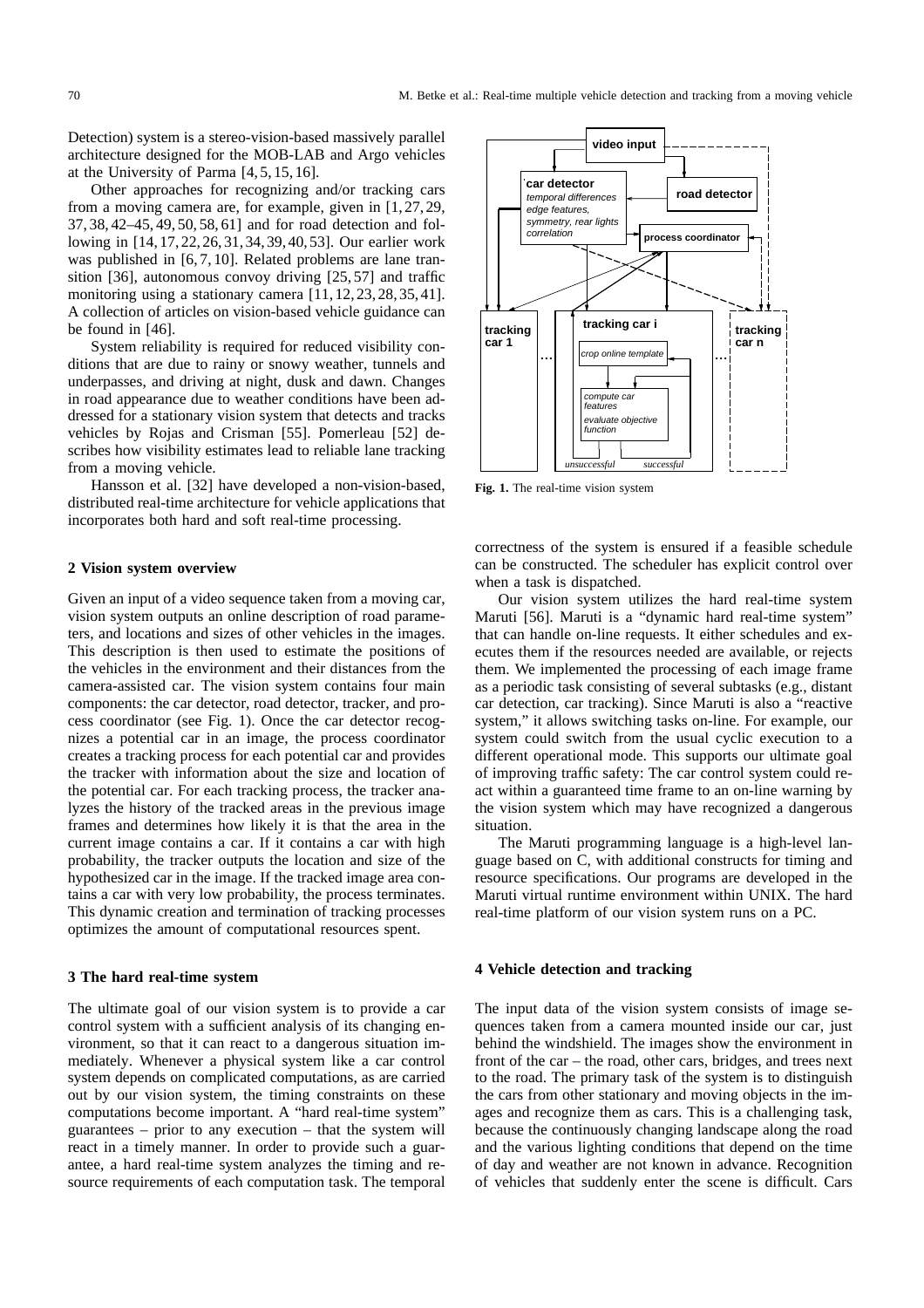Detection) system is a stereo-vision-based massively parallel architecture designed for the MOB-LAB and Argo vehicles at the University of Parma [4, 5, 15, 16].

Other approaches for recognizing and/or tracking cars from a moving camera are, for example, given in [1, 27, 29, 37, 38, 42–45, 49, 50, 58, 61] and for road detection and following in [14, 17, 22, 26, 31, 34, 39, 40, 53]. Our earlier work was published in [6, 7, 10]. Related problems are lane transition [36], autonomous convoy driving [25, 57] and traffic monitoring using a stationary camera [11, 12, 23, 28, 35, 41]. A collection of articles on vision-based vehicle guidance can be found in [46].

System reliability is required for reduced visibility conditions that are due to rainy or snowy weather, tunnels and underpasses, and driving at night, dusk and dawn. Changes in road appearance due to weather conditions have been addressed for a stationary vision system that detects and tracks vehicles by Rojas and Crisman [55]. Pomerleau [52] describes how visibility estimates lead to reliable lane tracking from a moving vehicle.

Hansson et al. [32] have developed a non-vision-based, distributed real-time architecture for vehicle applications that incorporates both hard and soft real-time processing.

#### **2 Vision system overview**

Given an input of a video sequence taken from a moving car, vision system outputs an online description of road parameters, and locations and sizes of other vehicles in the images. This description is then used to estimate the positions of the vehicles in the environment and their distances from the camera-assisted car. The vision system contains four main components: the car detector, road detector, tracker, and process coordinator (see Fig. 1). Once the car detector recognizes a potential car in an image, the process coordinator creates a tracking process for each potential car and provides the tracker with information about the size and location of the potential car. For each tracking process, the tracker analyzes the history of the tracked areas in the previous image frames and determines how likely it is that the area in the current image contains a car. If it contains a car with high probability, the tracker outputs the location and size of the hypothesized car in the image. If the tracked image area contains a car with very low probability, the process terminates. This dynamic creation and termination of tracking processes optimizes the amount of computational resources spent.

#### **3 The hard real-time system**

The ultimate goal of our vision system is to provide a car control system with a sufficient analysis of its changing environment, so that it can react to a dangerous situation immediately. Whenever a physical system like a car control system depends on complicated computations, as are carried out by our vision system, the timing constraints on these computations become important. A "hard real-time system" guarantees – prior to any execution – that the system will react in a timely manner. In order to provide such a guarantee, a hard real-time system analyzes the timing and resource requirements of each computation task. The temporal



**Fig. 1.** The real-time vision system

correctness of the system is ensured if a feasible schedule can be constructed. The scheduler has explicit control over when a task is dispatched.

Our vision system utilizes the hard real-time system Maruti [56]. Maruti is a "dynamic hard real-time system" that can handle on-line requests. It either schedules and executes them if the resources needed are available, or rejects them. We implemented the processing of each image frame as a periodic task consisting of several subtasks (e.g., distant car detection, car tracking). Since Maruti is also a "reactive system," it allows switching tasks on-line. For example, our system could switch from the usual cyclic execution to a different operational mode. This supports our ultimate goal of improving traffic safety: The car control system could react within a guaranteed time frame to an on-line warning by the vision system which may have recognized a dangerous situation.

The Maruti programming language is a high-level language based on C, with additional constructs for timing and resource specifications. Our programs are developed in the Maruti virtual runtime environment within UNIX. The hard real-time platform of our vision system runs on a PC.

#### **4 Vehicle detection and tracking**

The input data of the vision system consists of image sequences taken from a camera mounted inside our car, just behind the windshield. The images show the environment in front of the car – the road, other cars, bridges, and trees next to the road. The primary task of the system is to distinguish the cars from other stationary and moving objects in the images and recognize them as cars. This is a challenging task, because the continuously changing landscape along the road and the various lighting conditions that depend on the time of day and weather are not known in advance. Recognition of vehicles that suddenly enter the scene is difficult. Cars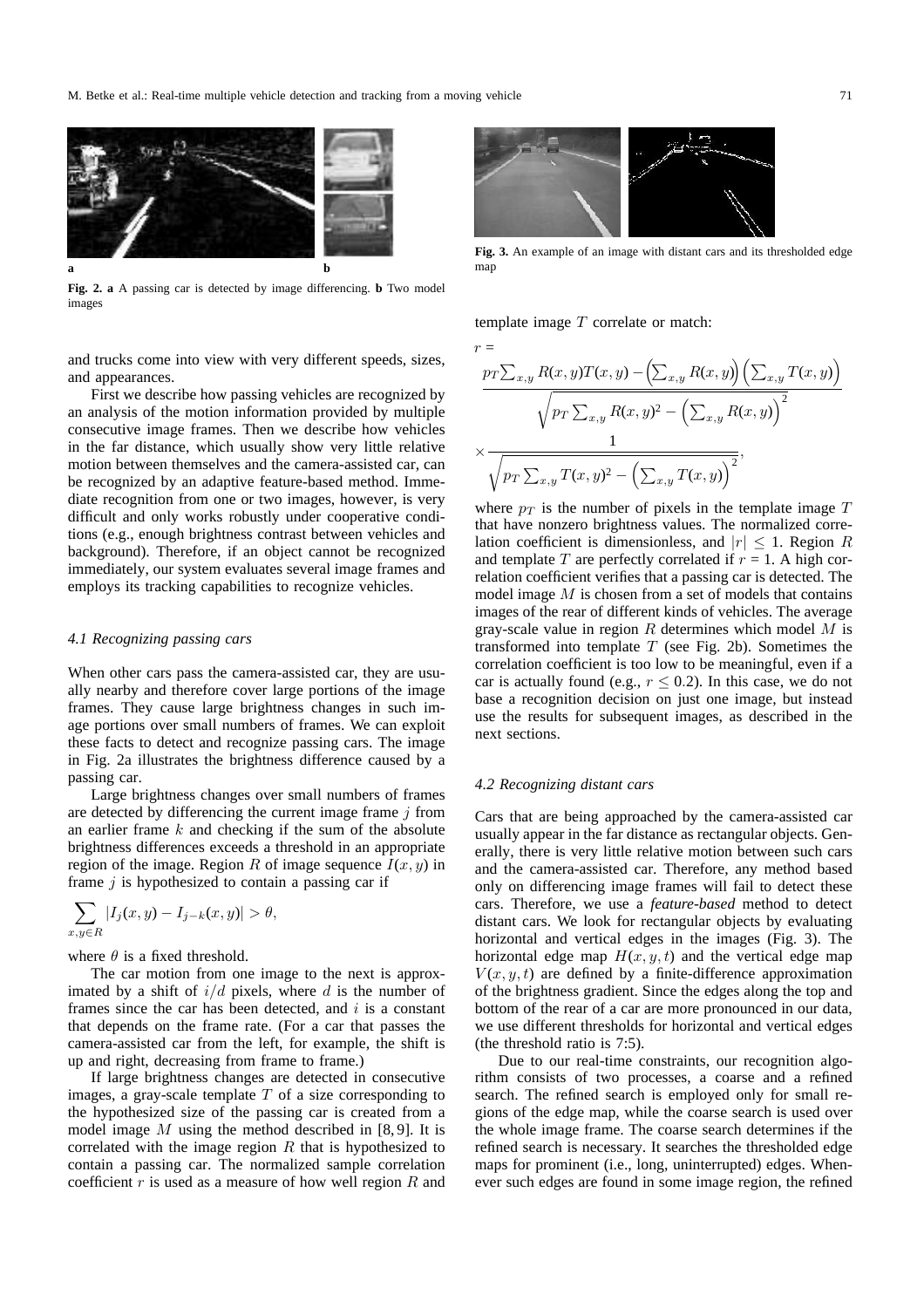

**Fig. 2. a** A passing car is detected by image differencing. **b** Two model images

and trucks come into view with very different speeds, sizes, and appearances.

First we describe how passing vehicles are recognized by an analysis of the motion information provided by multiple consecutive image frames. Then we describe how vehicles in the far distance, which usually show very little relative motion between themselves and the camera-assisted car, can be recognized by an adaptive feature-based method. Immediate recognition from one or two images, however, is very difficult and only works robustly under cooperative conditions (e.g., enough brightness contrast between vehicles and background). Therefore, if an object cannot be recognized immediately, our system evaluates several image frames and employs its tracking capabilities to recognize vehicles.

# *4.1 Recognizing passing cars*

When other cars pass the camera-assisted car, they are usually nearby and therefore cover large portions of the image frames. They cause large brightness changes in such image portions over small numbers of frames. We can exploit these facts to detect and recognize passing cars. The image in Fig. 2a illustrates the brightness difference caused by a passing car.

Large brightness changes over small numbers of frames are detected by differencing the current image frame  $j$  from an earlier frame  $k$  and checking if the sum of the absolute brightness differences exceeds a threshold in an appropriate region of the image. Region R of image sequence  $I(x, y)$  in frame  $j$  is hypothesized to contain a passing car if

$$
\sum_{x,y \in R} |I_j(x,y) - I_{j-k}(x,y)| > \theta,
$$

where  $\theta$  is a fixed threshold.

The car motion from one image to the next is approximated by a shift of  $i/d$  pixels, where d is the number of frames since the car has been detected, and  $i$  is a constant that depends on the frame rate. (For a car that passes the camera-assisted car from the left, for example, the shift is up and right, decreasing from frame to frame.)

If large brightness changes are detected in consecutive images, a gray-scale template  $T$  of a size corresponding to the hypothesized size of the passing car is created from a model image  $M$  using the method described in [8,9]. It is correlated with the image region  $R$  that is hypothesized to contain a passing car. The normalized sample correlation coefficient  $r$  is used as a measure of how well region  $R$  and



**Fig. 3.** An example of an image with distant cars and its thresholded edge map

template image  $T$  correlate or match:

$$
r =
$$
  
\n
$$
\frac{p_T \sum_{x,y} R(x,y)T(x,y) - (\sum_{x,y} R(x,y)) (\sum_{x,y} T(x,y))}{\sqrt{p_T \sum_{x,y} R(x,y)^2 - (\sum_{x,y} R(x,y))^{2}}}
$$
  
\n
$$
\times \frac{1}{\sqrt{p_T \sum_{x,y} T(x,y)^2 - (\sum_{x,y} T(x,y))^{2}}},
$$

where  $p_T$  is the number of pixels in the template image T that have nonzero brightness values. The normalized correlation coefficient is dimensionless, and  $|r| \leq 1$ . Region R and template T are perfectly correlated if  $r = 1$ . A high correlation coefficient verifies that a passing car is detected. The model image  $M$  is chosen from a set of models that contains images of the rear of different kinds of vehicles. The average gray-scale value in region  $R$  determines which model  $M$  is transformed into template  $T$  (see Fig. 2b). Sometimes the correlation coefficient is too low to be meaningful, even if a car is actually found (e.g.,  $r \leq 0.2$ ). In this case, we do not base a recognition decision on just one image, but instead use the results for subsequent images, as described in the next sections.

#### *4.2 Recognizing distant cars*

Cars that are being approached by the camera-assisted car usually appear in the far distance as rectangular objects. Generally, there is very little relative motion between such cars and the camera-assisted car. Therefore, any method based only on differencing image frames will fail to detect these cars. Therefore, we use a *feature-based* method to detect distant cars. We look for rectangular objects by evaluating horizontal and vertical edges in the images (Fig. 3). The horizontal edge map  $H(x, y, t)$  and the vertical edge map  $V(x, y, t)$  are defined by a finite-difference approximation of the brightness gradient. Since the edges along the top and bottom of the rear of a car are more pronounced in our data, we use different thresholds for horizontal and vertical edges (the threshold ratio is 7:5).

Due to our real-time constraints, our recognition algorithm consists of two processes, a coarse and a refined search. The refined search is employed only for small regions of the edge map, while the coarse search is used over the whole image frame. The coarse search determines if the refined search is necessary. It searches the thresholded edge maps for prominent (i.e., long, uninterrupted) edges. Whenever such edges are found in some image region, the refined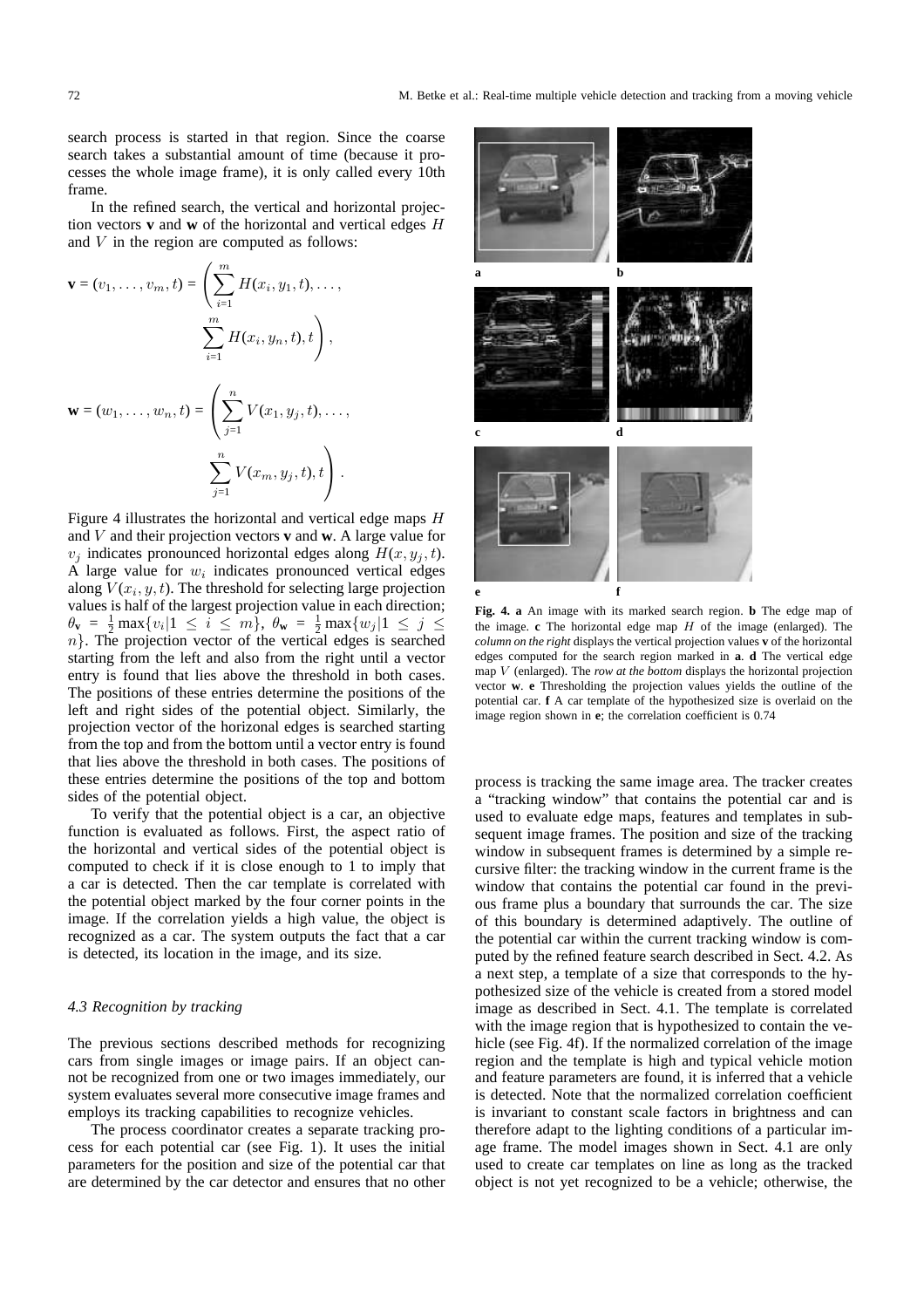search process is started in that region. Since the coarse search takes a substantial amount of time (because it processes the whole image frame), it is only called every 10th frame.

In the refined search, the vertical and horizontal projection vectors **v** and **w** of the horizontal and vertical edges H and  $V$  in the region are computed as follows:

$$
\mathbf{v} = (v_1, \dots, v_m, t) = \left( \sum_{i=1}^m H(x_i, y_1, t), \dots, \sum_{i=1}^m H(x_i, y_n, t), t \right),
$$

$$
\mathbf{w} = (w_1, \dots, w_n, t) = \left( \sum_{j=1}^n V(x_1, y_j, t), \dots, \sum_{j=1}^n V(x_m, y_j, t), t \right).
$$

Figure 4 illustrates the horizontal and vertical edge maps H and V and their projection vectors **v** and **w**. A large value for  $v_i$  indicates pronounced horizontal edges along  $H(x, y_i, t)$ . A large value for  $w_i$  indicates pronounced vertical edges along  $V(x_i, y, t)$ . The threshold for selecting large projection values is half of the largest projection value in each direction;  $\theta_{\mathbf{v}} = \frac{1}{2} \max\{v_i | 1 \leq i \leq m\}, \ \theta_{\mathbf{w}} = \frac{1}{2} \max\{w_j | 1 \leq j \leq m\}$  $n$ }. The projection vector of the vertical edges is searched starting from the left and also from the right until a vector entry is found that lies above the threshold in both cases. The positions of these entries determine the positions of the left and right sides of the potential object. Similarly, the projection vector of the horizonal edges is searched starting from the top and from the bottom until a vector entry is found that lies above the threshold in both cases. The positions of these entries determine the positions of the top and bottom sides of the potential object.

To verify that the potential object is a car, an objective function is evaluated as follows. First, the aspect ratio of the horizontal and vertical sides of the potential object is computed to check if it is close enough to 1 to imply that a car is detected. Then the car template is correlated with the potential object marked by the four corner points in the image. If the correlation yields a high value, the object is recognized as a car. The system outputs the fact that a car is detected, its location in the image, and its size.

#### *4.3 Recognition by tracking*

The previous sections described methods for recognizing cars from single images or image pairs. If an object cannot be recognized from one or two images immediately, our system evaluates several more consecutive image frames and employs its tracking capabilities to recognize vehicles.

The process coordinator creates a separate tracking process for each potential car (see Fig. 1). It uses the initial parameters for the position and size of the potential car that are determined by the car detector and ensures that no other



**Fig. 4. a** An image with its marked search region. **b** The edge map of the image. **c** The horizontal edge map H of the image (enlarged). The *column on the right* displays the vertical projection values **v** of the horizontal edges computed for the search region marked in **a**. **d** The vertical edge map V (enlarged). The *row at the bottom* displays the horizontal projection vector **w**. **e** Thresholding the projection values yields the outline of the potential car. **f** A car template of the hypothesized size is overlaid on the image region shown in **e**; the correlation coefficient is 0.74

process is tracking the same image area. The tracker creates a "tracking window" that contains the potential car and is used to evaluate edge maps, features and templates in subsequent image frames. The position and size of the tracking window in subsequent frames is determined by a simple recursive filter: the tracking window in the current frame is the window that contains the potential car found in the previous frame plus a boundary that surrounds the car. The size of this boundary is determined adaptively. The outline of the potential car within the current tracking window is computed by the refined feature search described in Sect. 4.2. As a next step, a template of a size that corresponds to the hypothesized size of the vehicle is created from a stored model image as described in Sect. 4.1. The template is correlated with the image region that is hypothesized to contain the vehicle (see Fig. 4f). If the normalized correlation of the image region and the template is high and typical vehicle motion and feature parameters are found, it is inferred that a vehicle is detected. Note that the normalized correlation coefficient is invariant to constant scale factors in brightness and can therefore adapt to the lighting conditions of a particular image frame. The model images shown in Sect. 4.1 are only used to create car templates on line as long as the tracked object is not yet recognized to be a vehicle; otherwise, the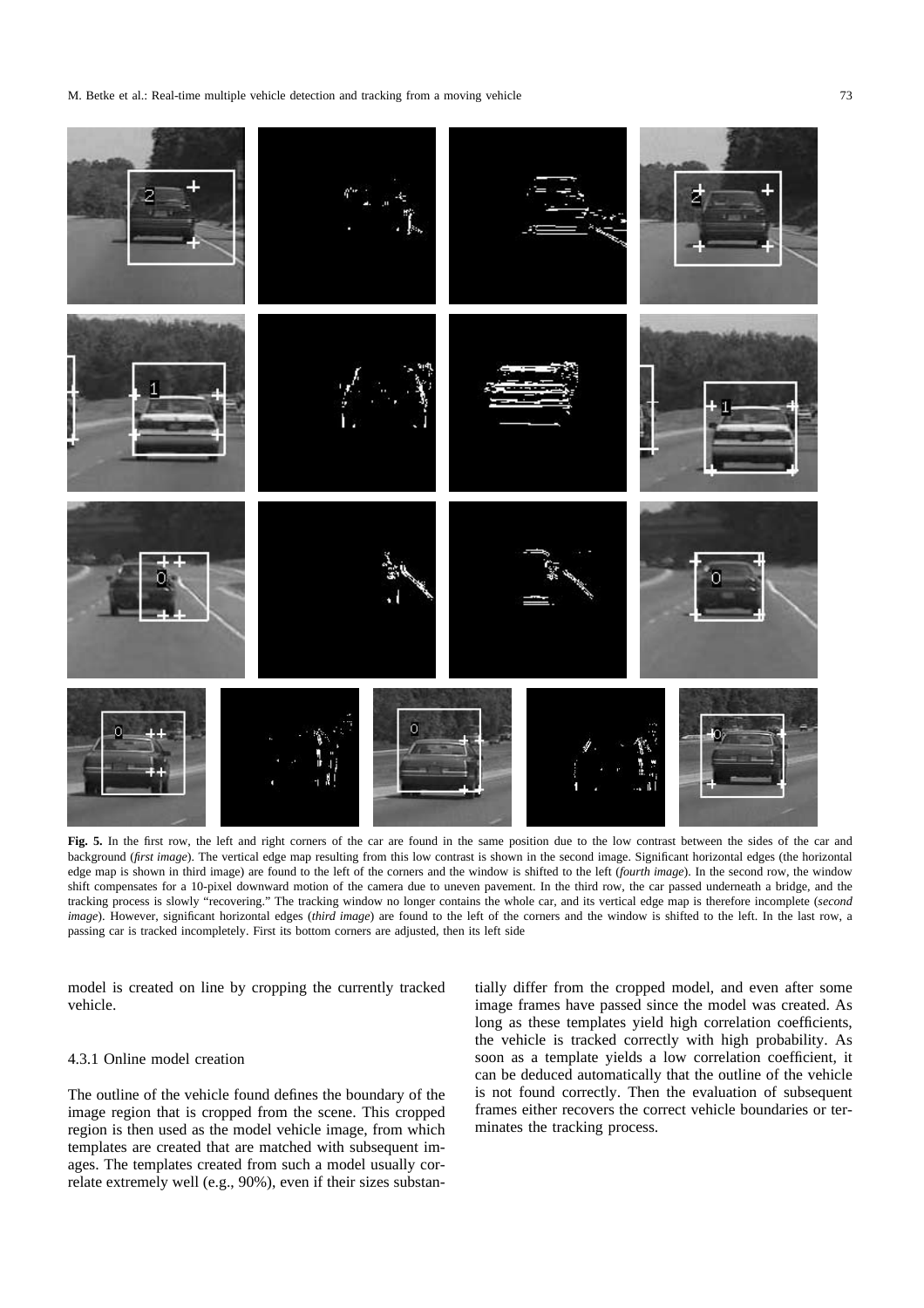M. Betke et al.: Real-time multiple vehicle detection and tracking from a moving vehicle 73



**Fig. 5.** In the first row, the left and right corners of the car are found in the same position due to the low contrast between the sides of the car and background (*first image*). The vertical edge map resulting from this low contrast is shown in the second image. Significant horizontal edges (the horizontal edge map is shown in third image) are found to the left of the corners and the window is shifted to the left (*fourth image*). In the second row, the window shift compensates for a 10-pixel downward motion of the camera due to uneven pavement. In the third row, the car passed underneath a bridge, and the tracking process is slowly "recovering." The tracking window no longer contains the whole car, and its vertical edge map is therefore incomplete (*second image*). However, significant horizontal edges (*third image*) are found to the left of the corners and the window is shifted to the left. In the last row, a passing car is tracked incompletely. First its bottom corners are adjusted, then its left side

model is created on line by cropping the currently tracked vehicle.

# 4.3.1 Online model creation

The outline of the vehicle found defines the boundary of the image region that is cropped from the scene. This cropped region is then used as the model vehicle image, from which templates are created that are matched with subsequent images. The templates created from such a model usually correlate extremely well (e.g., 90%), even if their sizes substantially differ from the cropped model, and even after some image frames have passed since the model was created. As long as these templates yield high correlation coefficients, the vehicle is tracked correctly with high probability. As soon as a template yields a low correlation coefficient, it can be deduced automatically that the outline of the vehicle is not found correctly. Then the evaluation of subsequent frames either recovers the correct vehicle boundaries or terminates the tracking process.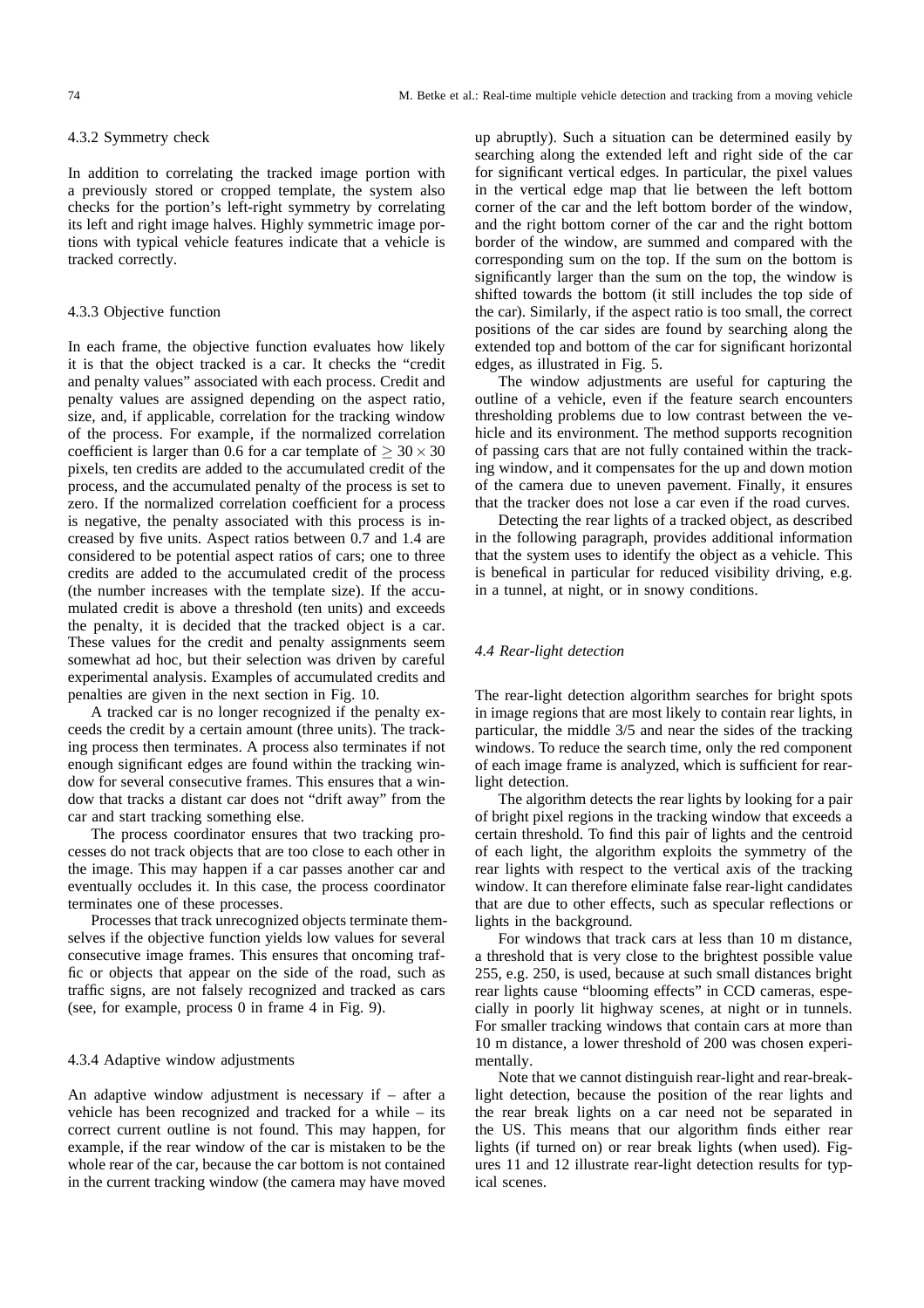# 4.3.2 Symmetry check

In addition to correlating the tracked image portion with a previously stored or cropped template, the system also checks for the portion's left-right symmetry by correlating its left and right image halves. Highly symmetric image portions with typical vehicle features indicate that a vehicle is tracked correctly.

#### 4.3.3 Objective function

In each frame, the objective function evaluates how likely it is that the object tracked is a car. It checks the "credit and penalty values" associated with each process. Credit and penalty values are assigned depending on the aspect ratio, size, and, if applicable, correlation for the tracking window of the process. For example, if the normalized correlation coefficient is larger than 0.6 for a car template of  $> 30 \times 30$ pixels, ten credits are added to the accumulated credit of the process, and the accumulated penalty of the process is set to zero. If the normalized correlation coefficient for a process is negative, the penalty associated with this process is increased by five units. Aspect ratios between 0.7 and 1.4 are considered to be potential aspect ratios of cars; one to three credits are added to the accumulated credit of the process (the number increases with the template size). If the accumulated credit is above a threshold (ten units) and exceeds the penalty, it is decided that the tracked object is a car. These values for the credit and penalty assignments seem somewhat ad hoc, but their selection was driven by careful experimental analysis. Examples of accumulated credits and penalties are given in the next section in Fig. 10.

A tracked car is no longer recognized if the penalty exceeds the credit by a certain amount (three units). The tracking process then terminates. A process also terminates if not enough significant edges are found within the tracking window for several consecutive frames. This ensures that a window that tracks a distant car does not "drift away" from the car and start tracking something else.

The process coordinator ensures that two tracking processes do not track objects that are too close to each other in the image. This may happen if a car passes another car and eventually occludes it. In this case, the process coordinator terminates one of these processes.

Processes that track unrecognized objects terminate themselves if the objective function yields low values for several consecutive image frames. This ensures that oncoming traffic or objects that appear on the side of the road, such as traffic signs, are not falsely recognized and tracked as cars (see, for example, process 0 in frame 4 in Fig. 9).

#### 4.3.4 Adaptive window adjustments

An adaptive window adjustment is necessary if – after a vehicle has been recognized and tracked for a while – its correct current outline is not found. This may happen, for example, if the rear window of the car is mistaken to be the whole rear of the car, because the car bottom is not contained in the current tracking window (the camera may have moved up abruptly). Such a situation can be determined easily by searching along the extended left and right side of the car for significant vertical edges. In particular, the pixel values in the vertical edge map that lie between the left bottom corner of the car and the left bottom border of the window, and the right bottom corner of the car and the right bottom border of the window, are summed and compared with the corresponding sum on the top. If the sum on the bottom is significantly larger than the sum on the top, the window is shifted towards the bottom (it still includes the top side of the car). Similarly, if the aspect ratio is too small, the correct positions of the car sides are found by searching along the extended top and bottom of the car for significant horizontal edges, as illustrated in Fig. 5.

The window adjustments are useful for capturing the outline of a vehicle, even if the feature search encounters thresholding problems due to low contrast between the vehicle and its environment. The method supports recognition of passing cars that are not fully contained within the tracking window, and it compensates for the up and down motion of the camera due to uneven pavement. Finally, it ensures that the tracker does not lose a car even if the road curves.

Detecting the rear lights of a tracked object, as described in the following paragraph, provides additional information that the system uses to identify the object as a vehicle. This is benefical in particular for reduced visibility driving, e.g. in a tunnel, at night, or in snowy conditions.

#### *4.4 Rear-light detection*

The rear-light detection algorithm searches for bright spots in image regions that are most likely to contain rear lights, in particular, the middle 3/5 and near the sides of the tracking windows. To reduce the search time, only the red component of each image frame is analyzed, which is sufficient for rearlight detection.

The algorithm detects the rear lights by looking for a pair of bright pixel regions in the tracking window that exceeds a certain threshold. To find this pair of lights and the centroid of each light, the algorithm exploits the symmetry of the rear lights with respect to the vertical axis of the tracking window. It can therefore eliminate false rear-light candidates that are due to other effects, such as specular reflections or lights in the background.

For windows that track cars at less than 10 m distance, a threshold that is very close to the brightest possible value 255, e.g. 250, is used, because at such small distances bright rear lights cause "blooming effects" in CCD cameras, especially in poorly lit highway scenes, at night or in tunnels. For smaller tracking windows that contain cars at more than 10 m distance, a lower threshold of 200 was chosen experimentally.

Note that we cannot distinguish rear-light and rear-breaklight detection, because the position of the rear lights and the rear break lights on a car need not be separated in the US. This means that our algorithm finds either rear lights (if turned on) or rear break lights (when used). Figures 11 and 12 illustrate rear-light detection results for typical scenes.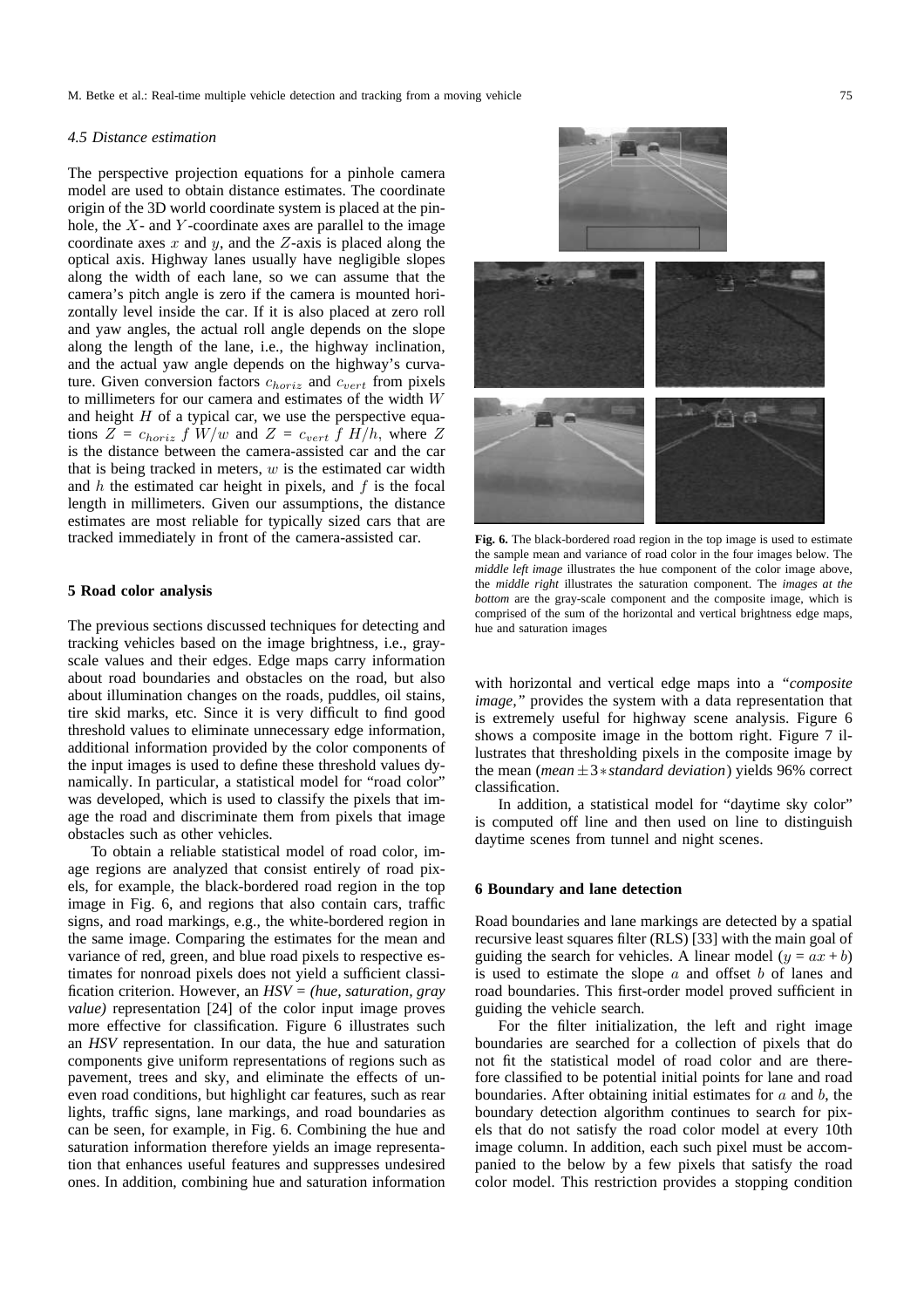# *4.5 Distance estimation*

The perspective projection equations for a pinhole camera model are used to obtain distance estimates. The coordinate origin of the 3D world coordinate system is placed at the pinhole, the  $X$ - and  $Y$ -coordinate axes are parallel to the image coordinate axes  $x$  and  $y$ , and the  $Z$ -axis is placed along the optical axis. Highway lanes usually have negligible slopes along the width of each lane, so we can assume that the camera's pitch angle is zero if the camera is mounted horizontally level inside the car. If it is also placed at zero roll and yaw angles, the actual roll angle depends on the slope along the length of the lane, i.e., the highway inclination, and the actual yaw angle depends on the highway's curvature. Given conversion factors  $c_{horiz}$  and  $c_{vert}$  from pixels to millimeters for our camera and estimates of the width W and height  $H$  of a typical car, we use the perspective equations  $\overline{Z} = c_{horiz} f W/w$  and  $Z = c_{vert} f H/h$ , where Z is the distance between the camera-assisted car and the car that is being tracked in meters,  $w$  is the estimated car width and  $h$  the estimated car height in pixels, and  $f$  is the focal length in millimeters. Given our assumptions, the distance estimates are most reliable for typically sized cars that are tracked immediately in front of the camera-assisted car.

# **5 Road color analysis**

The previous sections discussed techniques for detecting and tracking vehicles based on the image brightness, i.e., grayscale values and their edges. Edge maps carry information about road boundaries and obstacles on the road, but also about illumination changes on the roads, puddles, oil stains, tire skid marks, etc. Since it is very difficult to find good threshold values to eliminate unnecessary edge information, additional information provided by the color components of the input images is used to define these threshold values dynamically. In particular, a statistical model for "road color" was developed, which is used to classify the pixels that image the road and discriminate them from pixels that image obstacles such as other vehicles.

To obtain a reliable statistical model of road color, image regions are analyzed that consist entirely of road pixels, for example, the black-bordered road region in the top image in Fig. 6, and regions that also contain cars, traffic signs, and road markings, e.g., the white-bordered region in the same image. Comparing the estimates for the mean and variance of red, green, and blue road pixels to respective estimates for nonroad pixels does not yield a sufficient classification criterion. However, an *HSV = (hue, saturation, gray value)* representation [24] of the color input image proves more effective for classification. Figure 6 illustrates such an *HSV* representation. In our data, the hue and saturation components give uniform representations of regions such as pavement, trees and sky, and eliminate the effects of uneven road conditions, but highlight car features, such as rear lights, traffic signs, lane markings, and road boundaries as can be seen, for example, in Fig. 6. Combining the hue and saturation information therefore yields an image representation that enhances useful features and suppresses undesired ones. In addition, combining hue and saturation information



**Fig. 6.** The black-bordered road region in the top image is used to estimate the sample mean and variance of road color in the four images below. The *middle left image* illustrates the hue component of the color image above, the *middle right* illustrates the saturation component. The *images at the bottom* are the gray-scale component and the composite image, which is comprised of the sum of the horizontal and vertical brightness edge maps, hue and saturation images

with horizontal and vertical edge maps into a *"composite image,"* provides the system with a data representation that is extremely useful for highway scene analysis. Figure 6 shows a composite image in the bottom right. Figure 7 illustrates that thresholding pixels in the composite image by the mean (*mean* ±3∗*standard deviation*) yields 96% correct classification.

In addition, a statistical model for "daytime sky color" is computed off line and then used on line to distinguish daytime scenes from tunnel and night scenes.

## **6 Boundary and lane detection**

Road boundaries and lane markings are detected by a spatial recursive least squares filter (RLS) [33] with the main goal of guiding the search for vehicles. A linear model  $(y = ax + b)$ is used to estimate the slope  $a$  and offset  $b$  of lanes and road boundaries. This first-order model proved sufficient in guiding the vehicle search.

For the filter initialization, the left and right image boundaries are searched for a collection of pixels that do not fit the statistical model of road color and are therefore classified to be potential initial points for lane and road boundaries. After obtaining initial estimates for  $a$  and  $b$ , the boundary detection algorithm continues to search for pixels that do not satisfy the road color model at every 10th image column. In addition, each such pixel must be accompanied to the below by a few pixels that satisfy the road color model. This restriction provides a stopping condition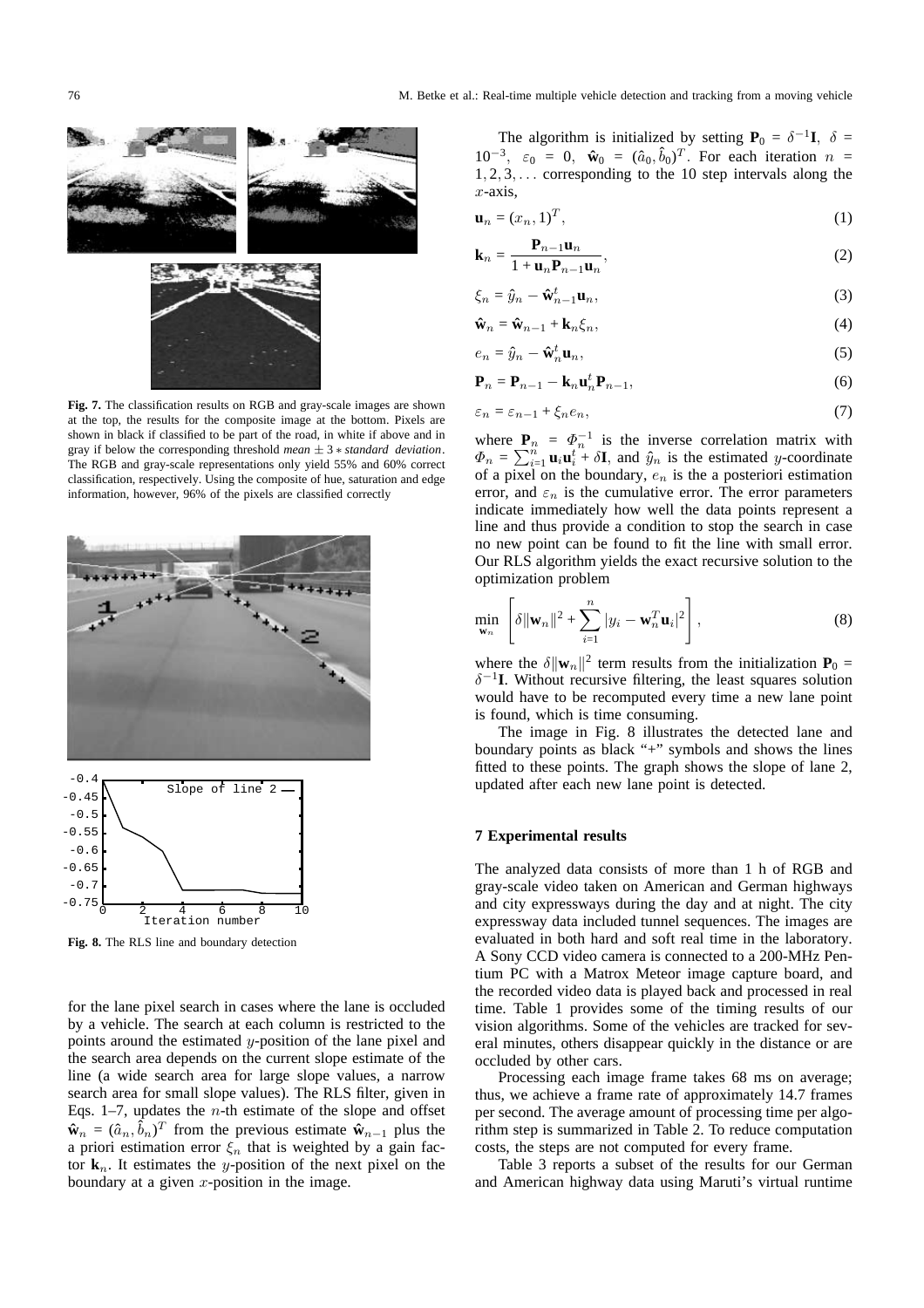

**Fig. 7.** The classification results on RGB and gray-scale images are shown at the top, the results for the composite image at the bottom. Pixels are shown in black if classified to be part of the road, in white if above and in gray if below the corresponding threshold *mean* ± 3 ∗ *standard deviation*. The RGB and gray-scale representations only yield 55% and 60% correct classification, respectively. Using the composite of hue, saturation and edge information, however, 96% of the pixels are classified correctly





**Fig. 8.** The RLS line and boundary detection

for the lane pixel search in cases where the lane is occluded by a vehicle. The search at each column is restricted to the points around the estimated y-position of the lane pixel and the search area depends on the current slope estimate of the line (a wide search area for large slope values, a narrow search area for small slope values). The RLS filter, given in Eqs. 1–7, updates the  $n$ -th estimate of the slope and offset  $\mathbf{\hat{w}}_n = (\hat{a}_n, \hat{b}_n)^T$  from the previous estimate  $\mathbf{\hat{w}}_{n-1}$  plus the a priori estimation error  $\xi_n$  that is weighted by a gain factor  $\mathbf{k}_n$ . It estimates the y-position of the next pixel on the boundary at a given x-position in the image.

The algorithm is initialized by setting  $P_0 = \delta^{-1}I$ ,  $\delta =$  $10^{-3}$ ,  $\varepsilon_0 = 0$ ,  $\hat{\mathbf{w}}_0 = (\hat{a}_0, \hat{b}_0)^T$ . For each iteration  $n =$  $1, 2, 3, \ldots$  corresponding to the 10 step intervals along the  $x$ -axis.

$$
\mathbf{u}_n = (x_n, 1)^T,\tag{1}
$$

$$
\mathbf{k}_n = \frac{\mathbf{P}_{n-1}\mathbf{u}_n}{1 + \mathbf{u}_n \mathbf{P}_{n-1}\mathbf{u}_n},\tag{2}
$$

$$
\xi_n = \hat{y}_n - \hat{\mathbf{w}}_{n-1}^t \mathbf{u}_n,\tag{3}
$$

$$
\hat{\mathbf{w}}_n = \hat{\mathbf{w}}_{n-1} + \mathbf{k}_n \xi_n,\tag{4}
$$

$$
e_n = \hat{y}_n - \hat{\mathbf{w}}_n^t \mathbf{u}_n,\tag{5}
$$

$$
\mathbf{P}_n = \mathbf{P}_{n-1} - \mathbf{k}_n \mathbf{u}_n^t \mathbf{P}_{n-1},\tag{6}
$$

$$
\varepsilon_n = \varepsilon_{n-1} + \xi_n e_n,\tag{7}
$$

where  $P_n = \Phi_n^{-1}$  is the inverse correlation matrix with  $\Phi_n = \sum_{i=1}^n \mathbf{u}_i \mathbf{u}_i^t + \delta \mathbf{I}$ , and  $\hat{y}_n$  is the estimated y-coordinate of a pixel on the boundary,  $e_n$  is the a posteriori estimation error, and  $\varepsilon_n$  is the cumulative error. The error parameters indicate immediately how well the data points represent a line and thus provide a condition to stop the search in case no new point can be found to fit the line with small error. Our RLS algorithm yields the exact recursive solution to the optimization problem

$$
\min_{\mathbf{w}_n} \left[ \delta \|\mathbf{w}_n\|^2 + \sum_{i=1}^n |y_i - \mathbf{w}_n^T \mathbf{u}_i|^2 \right],
$$
\n(8)

where the  $\delta ||\mathbf{w}_n||^2$  term results from the initialization  $\mathbf{P}_0 =$  $\delta^{-1}$ **I**. Without recursive filtering, the least squares solution would have to be recomputed every time a new lane point is found, which is time consuming.

The image in Fig. 8 illustrates the detected lane and boundary points as black "+" symbols and shows the lines fitted to these points. The graph shows the slope of lane 2, updated after each new lane point is detected.

# **7 Experimental results**

The analyzed data consists of more than 1 h of RGB and gray-scale video taken on American and German highways and city expressways during the day and at night. The city expressway data included tunnel sequences. The images are evaluated in both hard and soft real time in the laboratory. A Sony CCD video camera is connected to a 200-MHz Pentium PC with a Matrox Meteor image capture board, and the recorded video data is played back and processed in real time. Table 1 provides some of the timing results of our vision algorithms. Some of the vehicles are tracked for several minutes, others disappear quickly in the distance or are occluded by other cars.

Processing each image frame takes 68 ms on average; thus, we achieve a frame rate of approximately 14.7 frames per second. The average amount of processing time per algorithm step is summarized in Table 2. To reduce computation costs, the steps are not computed for every frame.

Table 3 reports a subset of the results for our German and American highway data using Maruti's virtual runtime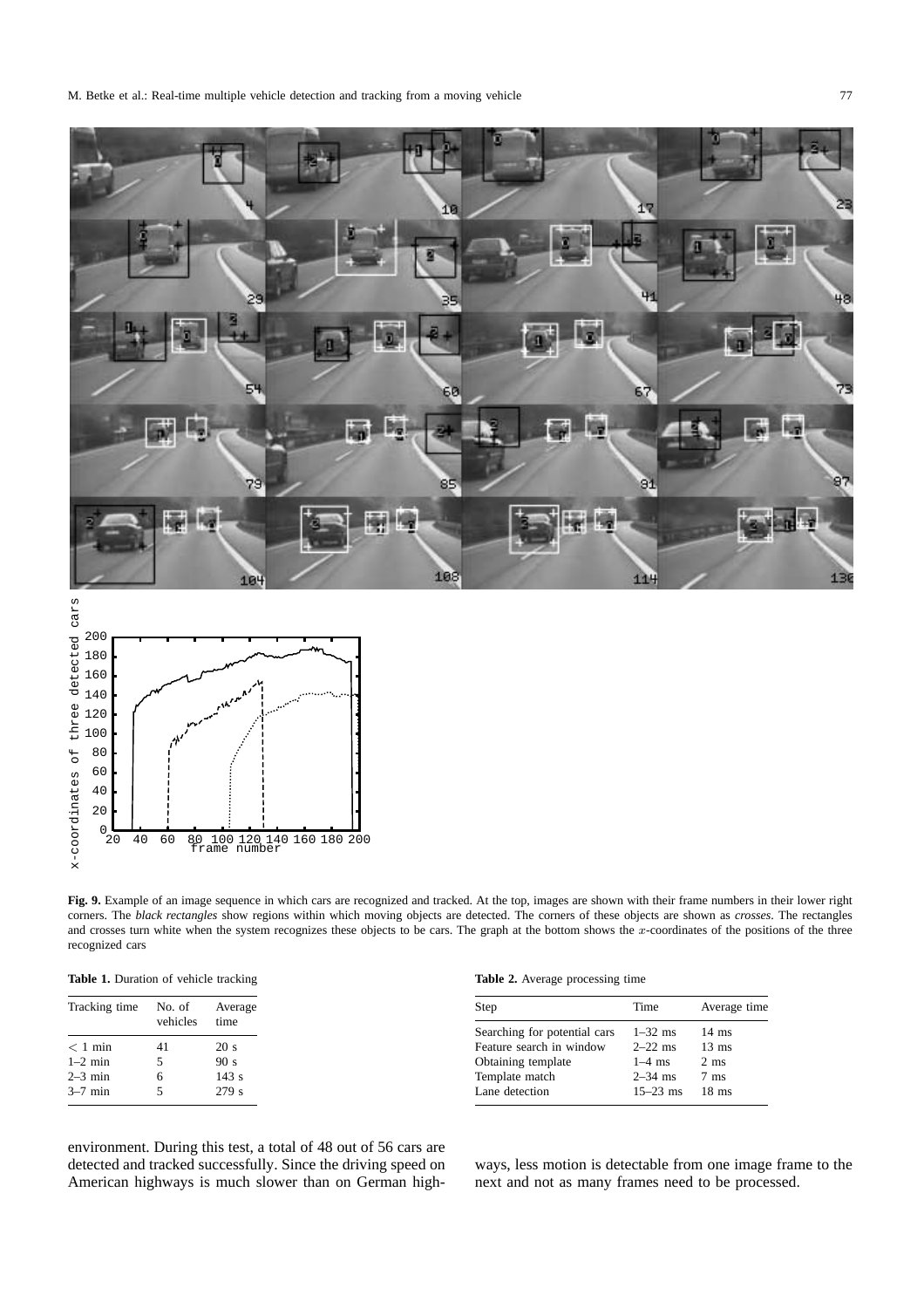



**Fig. 9.** Example of an image sequence in which cars are recognized and tracked. At the top, images are shown with their frame numbers in their lower right corners. The *black rectangles* show regions within which moving objects are detected. The corners of these objects are shown as *crosses*. The rectangles and crosses turn white when the system recognizes these objects to be cars. The graph at the bottom shows the  $x$ -coordinates of the positions of the three recognized cars

#### **Table 1.** Duration of vehicle tracking

| Tracking time | No. of<br>vehicles | Average | Step                         | Time<br>$1 - 32$ ms | Average time<br>$14 \text{ ms}$ |
|---------------|--------------------|---------|------------------------------|---------------------|---------------------------------|
|               |                    | time    | Searching for potential cars |                     |                                 |
| $<$ 1 min     | 41                 | 20 s    | Feature search in window     | $2 - 22$ ms         | $13 \text{ ms}$                 |
| $1-2$ min     |                    | 90 s    | Obtaining template           | $1-4$ ms            | $2 \text{ ms}$                  |
| $2-3$ min     | 6                  | 143s    | Template match               | $2 - 34$ ms         | $7 \text{ ms}$                  |
| $3-7$ min     |                    | 279 s   | Lane detection               | $15 - 23$ ms        | $18$ ms                         |

environment. During this test, a total of 48 out of 56 cars are detected and tracked successfully. Since the driving speed on American highways is much slower than on German high-

**Table 2.** Average processing time

ways, less motion is detectable from one image frame to the next and not as many frames need to be processed.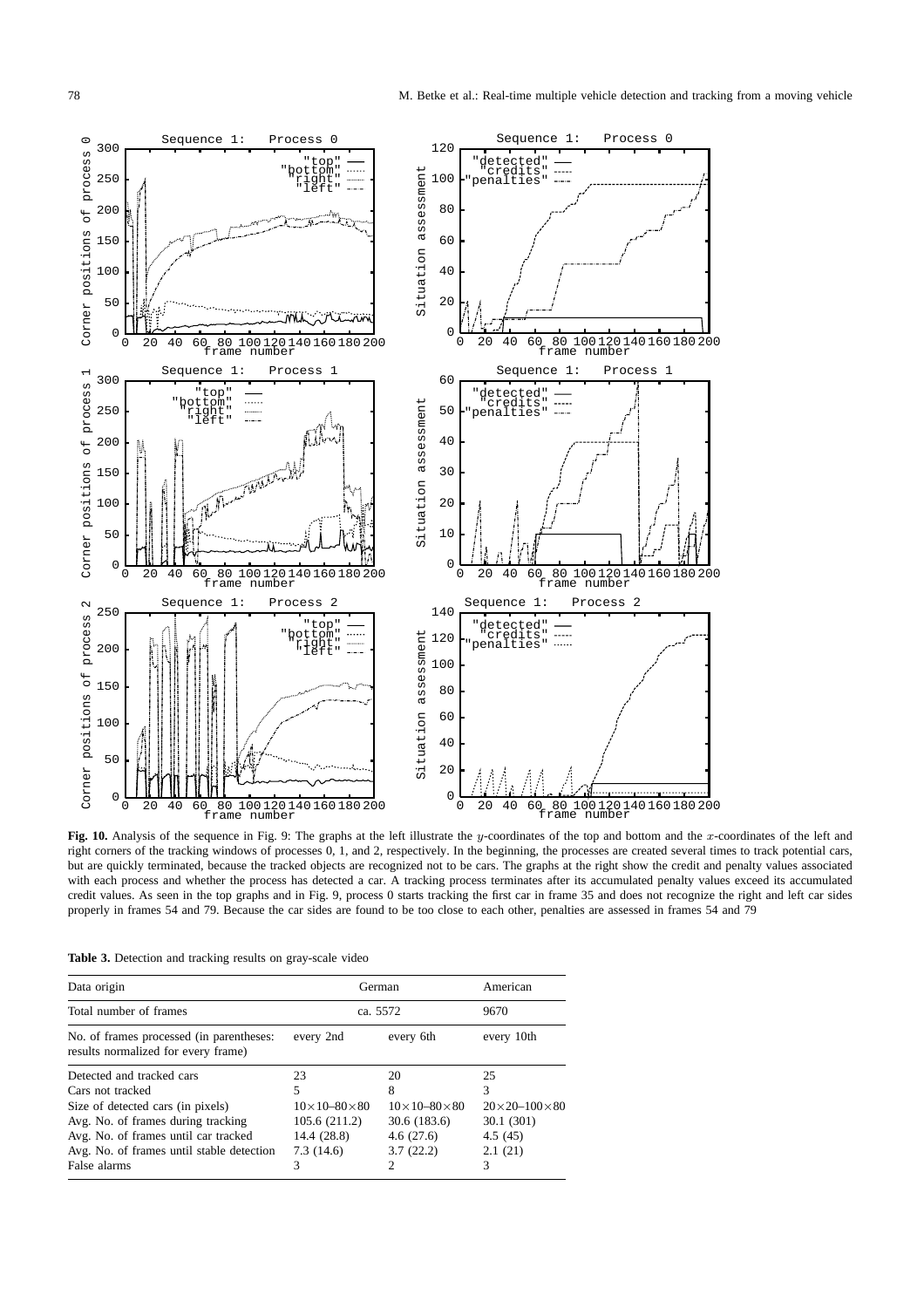

Fig. 10. Analysis of the sequence in Fig. 9: The graphs at the left illustrate the y-coordinates of the top and bottom and the x-coordinates of the left and right corners of the tracking windows of processes 0, 1, and 2, respectively. In the beginning, the processes are created several times to track potential cars, but are quickly terminated, because the tracked objects are recognized not to be cars. The graphs at the right show the credit and penalty values associated with each process and whether the process has detected a car. A tracking process terminates after its accumulated penalty values exceed its accumulated credit values. As seen in the top graphs and in Fig. 9, process 0 starts tracking the first car in frame 35 and does not recognize the right and left car sides properly in frames 54 and 79. Because the car sides are found to be too close to each other, penalties are assessed in frames 54 and 79

| Data origin                                                                     | German<br>ca. 5572            |                               | American<br>9670               |  |
|---------------------------------------------------------------------------------|-------------------------------|-------------------------------|--------------------------------|--|
| Total number of frames                                                          |                               |                               |                                |  |
| No. of frames processed (in parentheses:<br>results normalized for every frame) | every 2nd                     | every 6th                     | every 10th                     |  |
| Detected and tracked cars                                                       | 23                            | 20                            | 25                             |  |
| Cars not tracked                                                                | 5                             | 8                             | 3                              |  |
| Size of detected cars (in pixels)                                               | $10 \times 10 - 80 \times 80$ | $10 \times 10 - 80 \times 80$ | $20 \times 20 - 100 \times 80$ |  |
| Avg. No. of frames during tracking                                              | 105.6 (211.2)                 | 30.6 (183.6)                  | 30.1(301)                      |  |
| Avg. No. of frames until car tracked                                            | 14.4 (28.8)                   | 4.6(27.6)                     | 4.5(45)                        |  |
| Avg. No. of frames until stable detection                                       | 7.3(14.6)                     | 3.7(22.2)                     | 2.1(21)                        |  |
| False alarms                                                                    | 3                             | 2                             | 3                              |  |

**Table 3.** Detection and tracking results on gray-scale video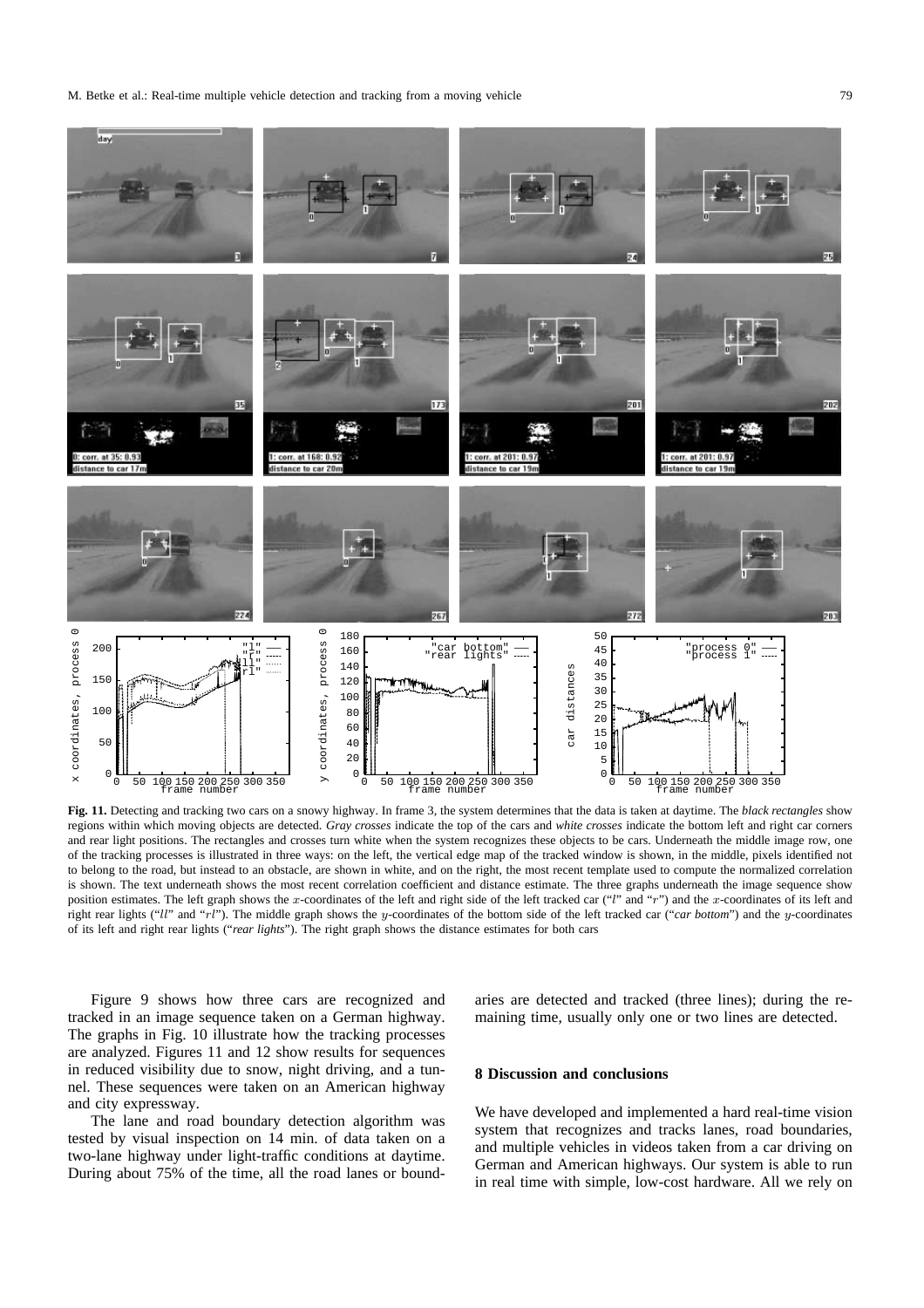M. Betke et al.: Real-time multiple vehicle detection and tracking from a moving vehicle 79



**Fig. 11.** Detecting and tracking two cars on a snowy highway. In frame 3, the system determines that the data is taken at daytime. The *black rectangles* show regions within which moving objects are detected. *Gray crosses* indicate the top of the cars and *white crosses* indicate the bottom left and right car corners and rear light positions. The rectangles and crosses turn white when the system recognizes these objects to be cars. Underneath the middle image row, one of the tracking processes is illustrated in three ways: on the left, the vertical edge map of the tracked window is shown, in the middle, pixels identified not to belong to the road, but instead to an obstacle, are shown in white, and on the right, the most recent template used to compute the normalized correlation is shown. The text underneath shows the most recent correlation coefficient and distance estimate. The three graphs underneath the image sequence show position estimates. The left graph shows the x-coordinates of the left and right side of the left tracked car ("l" and "r") and the x-coordinates of its left and right rear lights ("ll" and "rl"). The middle graph shows the y-coordinates of the bottom side of the left tracked car ("*car bottom*") and the y-coordinates of its left and right rear lights ("*rear lights*"). The right graph shows the distance estimates for both cars

Figure 9 shows how three cars are recognized and tracked in an image sequence taken on a German highway. The graphs in Fig. 10 illustrate how the tracking processes are analyzed. Figures 11 and 12 show results for sequences in reduced visibility due to snow, night driving, and a tunnel. These sequences were taken on an American highway and city expressway.

The lane and road boundary detection algorithm was tested by visual inspection on 14 min. of data taken on a two-lane highway under light-traffic conditions at daytime. During about 75% of the time, all the road lanes or boundaries are detected and tracked (three lines); during the remaining time, usually only one or two lines are detected.

# **8 Discussion and conclusions**

We have developed and implemented a hard real-time vision system that recognizes and tracks lanes, road boundaries, and multiple vehicles in videos taken from a car driving on German and American highways. Our system is able to run in real time with simple, low-cost hardware. All we rely on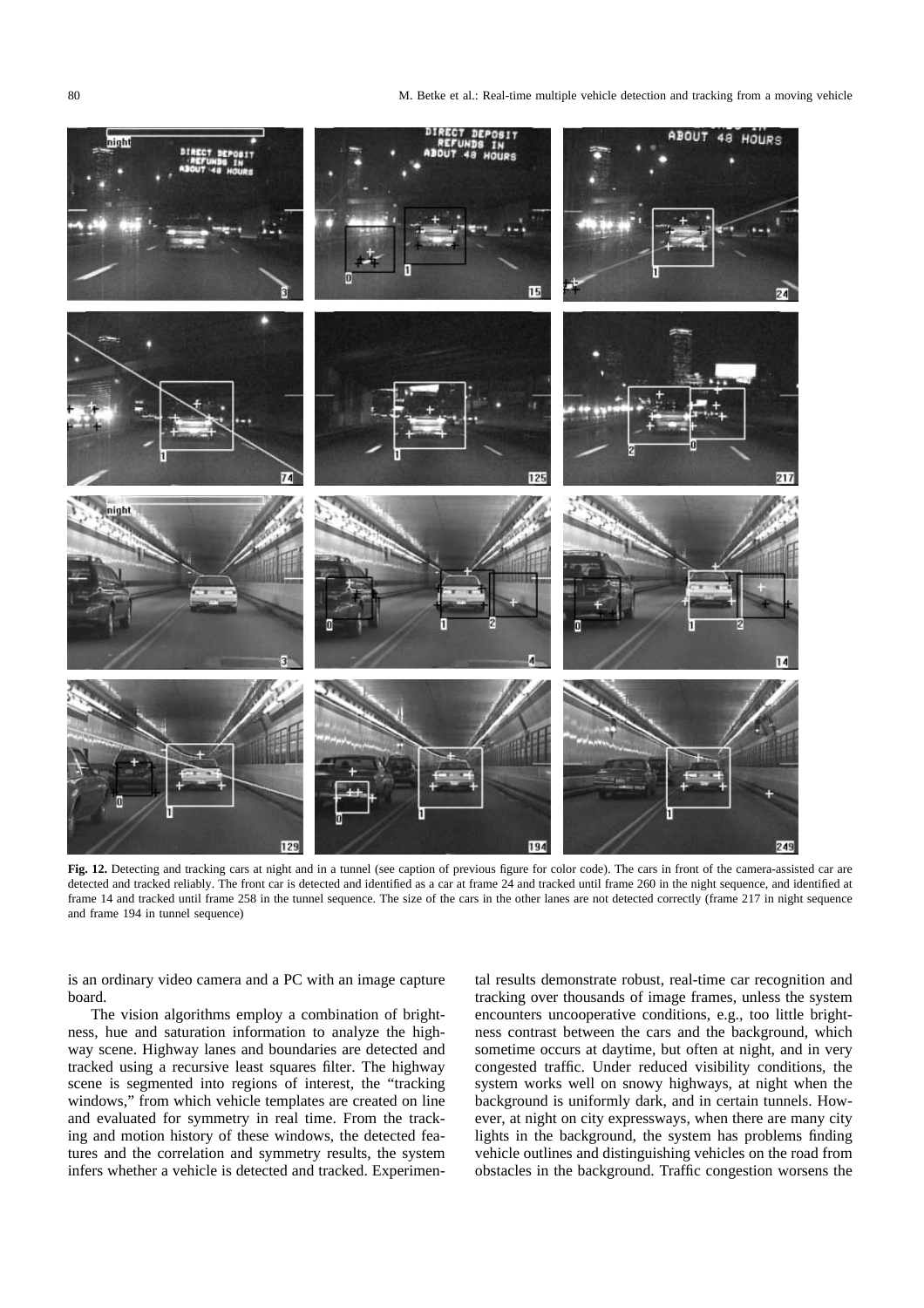

Fig. 12. Detecting and tracking cars at night and in a tunnel (see caption of previous figure for color code). The cars in front of the camera-assisted car are detected and tracked reliably. The front car is detected and identified as a car at frame 24 and tracked until frame 260 in the night sequence, and identified at frame 14 and tracked until frame 258 in the tunnel sequence. The size of the cars in the other lanes are not detected correctly (frame 217 in night sequence and frame 194 in tunnel sequence)

is an ordinary video camera and a PC with an image capture board.

The vision algorithms employ a combination of brightness, hue and saturation information to analyze the highway scene. Highway lanes and boundaries are detected and tracked using a recursive least squares filter. The highway scene is segmented into regions of interest, the "tracking windows," from which vehicle templates are created on line and evaluated for symmetry in real time. From the tracking and motion history of these windows, the detected features and the correlation and symmetry results, the system infers whether a vehicle is detected and tracked. Experimental results demonstrate robust, real-time car recognition and tracking over thousands of image frames, unless the system encounters uncooperative conditions, e.g., too little brightness contrast between the cars and the background, which sometime occurs at daytime, but often at night, and in very congested traffic. Under reduced visibility conditions, the system works well on snowy highways, at night when the background is uniformly dark, and in certain tunnels. However, at night on city expressways, when there are many city lights in the background, the system has problems finding vehicle outlines and distinguishing vehicles on the road from obstacles in the background. Traffic congestion worsens the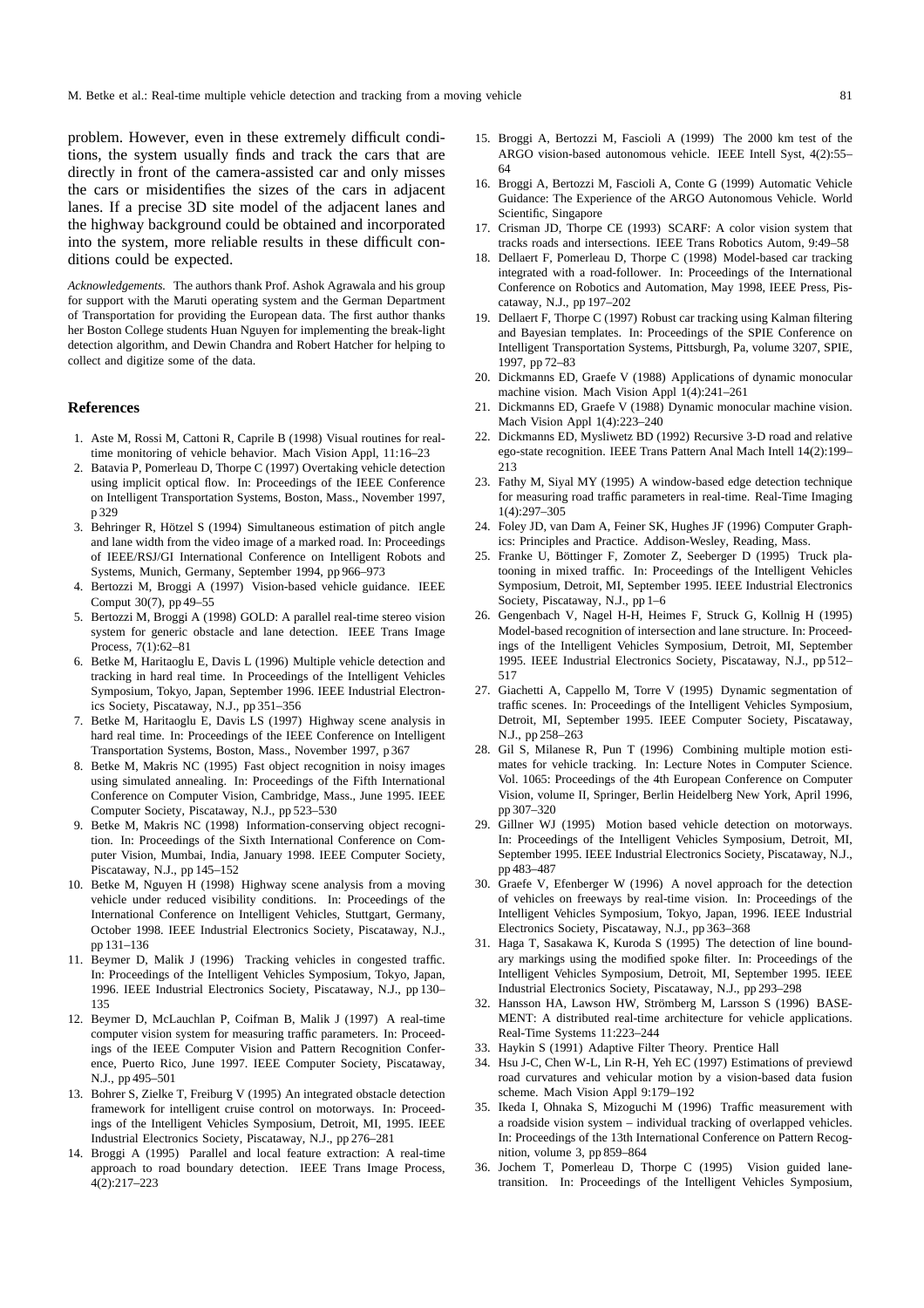problem. However, even in these extremely difficult conditions, the system usually finds and track the cars that are directly in front of the camera-assisted car and only misses the cars or misidentifies the sizes of the cars in adjacent lanes. If a precise 3D site model of the adjacent lanes and the highway background could be obtained and incorporated into the system, more reliable results in these difficult conditions could be expected.

*Acknowledgements.* The authors thank Prof. Ashok Agrawala and his group for support with the Maruti operating system and the German Department of Transportation for providing the European data. The first author thanks her Boston College students Huan Nguyen for implementing the break-light detection algorithm, and Dewin Chandra and Robert Hatcher for helping to collect and digitize some of the data.

#### **References**

- 1. Aste M, Rossi M, Cattoni R, Caprile B (1998) Visual routines for realtime monitoring of vehicle behavior. Mach Vision Appl, 11:16–23
- 2. Batavia P, Pomerleau D, Thorpe C (1997) Overtaking vehicle detection using implicit optical flow. In: Proceedings of the IEEE Conference on Intelligent Transportation Systems, Boston, Mass., November 1997, p 329
- 3. Behringer R, Hötzel S (1994) Simultaneous estimation of pitch angle and lane width from the video image of a marked road. In: Proceedings of IEEE/RSJ/GI International Conference on Intelligent Robots and Systems, Munich, Germany, September 1994, pp 966–973
- 4. Bertozzi M, Broggi A (1997) Vision-based vehicle guidance. IEEE Comput 30(7), pp 49–55
- 5. Bertozzi M, Broggi A (1998) GOLD: A parallel real-time stereo vision system for generic obstacle and lane detection. IEEE Trans Image Process, 7(1):62–81
- 6. Betke M, Haritaoglu E, Davis L (1996) Multiple vehicle detection and tracking in hard real time. In Proceedings of the Intelligent Vehicles Symposium, Tokyo, Japan, September 1996. IEEE Industrial Electronics Society, Piscataway, N.J., pp 351–356
- 7. Betke M, Haritaoglu E, Davis LS (1997) Highway scene analysis in hard real time. In: Proceedings of the IEEE Conference on Intelligent Transportation Systems, Boston, Mass., November 1997, p 367
- 8. Betke M, Makris NC (1995) Fast object recognition in noisy images using simulated annealing. In: Proceedings of the Fifth International Conference on Computer Vision, Cambridge, Mass., June 1995. IEEE Computer Society, Piscataway, N.J., pp 523–530
- 9. Betke M, Makris NC (1998) Information-conserving object recognition. In: Proceedings of the Sixth International Conference on Computer Vision, Mumbai, India, January 1998. IEEE Computer Society, Piscataway, N.J., pp 145–152
- 10. Betke M, Nguyen H (1998) Highway scene analysis from a moving vehicle under reduced visibility conditions. In: Proceedings of the International Conference on Intelligent Vehicles, Stuttgart, Germany, October 1998. IEEE Industrial Electronics Society, Piscataway, N.J., pp 131–136
- 11. Beymer D, Malik J (1996) Tracking vehicles in congested traffic. In: Proceedings of the Intelligent Vehicles Symposium, Tokyo, Japan, 1996. IEEE Industrial Electronics Society, Piscataway, N.J., pp 130– 135
- 12. Beymer D, McLauchlan P, Coifman B, Malik J (1997) A real-time computer vision system for measuring traffic parameters. In: Proceedings of the IEEE Computer Vision and Pattern Recognition Conference, Puerto Rico, June 1997. IEEE Computer Society, Piscataway, N.J., pp 495–501
- 13. Bohrer S, Zielke T, Freiburg V (1995) An integrated obstacle detection framework for intelligent cruise control on motorways. In: Proceedings of the Intelligent Vehicles Symposium, Detroit, MI, 1995. IEEE Industrial Electronics Society, Piscataway, N.J., pp 276–281
- 14. Broggi A (1995) Parallel and local feature extraction: A real-time approach to road boundary detection. IEEE Trans Image Process, 4(2):217–223
- 15. Broggi A, Bertozzi M, Fascioli A (1999) The 2000 km test of the ARGO vision-based autonomous vehicle. IEEE Intell Syst, 4(2):55– 64
- 16. Broggi A, Bertozzi M, Fascioli A, Conte G (1999) Automatic Vehicle Guidance: The Experience of the ARGO Autonomous Vehicle. World Scientific, Singapore
- 17. Crisman JD, Thorpe CE (1993) SCARF: A color vision system that tracks roads and intersections. IEEE Trans Robotics Autom, 9:49–58
- 18. Dellaert F, Pomerleau D, Thorpe C (1998) Model-based car tracking integrated with a road-follower. In: Proceedings of the International Conference on Robotics and Automation, May 1998, IEEE Press, Piscataway, N.J., pp 197–202
- 19. Dellaert F, Thorpe C (1997) Robust car tracking using Kalman filtering and Bayesian templates. In: Proceedings of the SPIE Conference on Intelligent Transportation Systems, Pittsburgh, Pa, volume 3207, SPIE, 1997, pp 72–83
- 20. Dickmanns ED, Graefe V (1988) Applications of dynamic monocular machine vision. Mach Vision Appl 1(4):241–261
- 21. Dickmanns ED, Graefe V (1988) Dynamic monocular machine vision. Mach Vision Appl 1(4):223–240
- 22. Dickmanns ED, Mysliwetz BD (1992) Recursive 3-D road and relative ego-state recognition. IEEE Trans Pattern Anal Mach Intell 14(2):199– 213
- 23. Fathy M, Siyal MY (1995) A window-based edge detection technique for measuring road traffic parameters in real-time. Real-Time Imaging 1(4):297–305
- 24. Foley JD, van Dam A, Feiner SK, Hughes JF (1996) Computer Graphics: Principles and Practice. Addison-Wesley, Reading, Mass.
- 25. Franke U, Böttinger F, Zomoter Z, Seeberger D (1995) Truck platooning in mixed traffic. In: Proceedings of the Intelligent Vehicles Symposium, Detroit, MI, September 1995. IEEE Industrial Electronics Society, Piscataway, N.J., pp 1–6
- 26. Gengenbach V, Nagel H-H, Heimes F, Struck G, Kollnig H (1995) Model-based recognition of intersection and lane structure. In: Proceedings of the Intelligent Vehicles Symposium, Detroit, MI, September 1995. IEEE Industrial Electronics Society, Piscataway, N.J., pp 512– 517
- 27. Giachetti A, Cappello M, Torre V (1995) Dynamic segmentation of traffic scenes. In: Proceedings of the Intelligent Vehicles Symposium, Detroit, MI, September 1995. IEEE Computer Society, Piscataway, N.J., pp 258–263
- 28. Gil S, Milanese R, Pun T (1996) Combining multiple motion estimates for vehicle tracking. In: Lecture Notes in Computer Science. Vol. 1065: Proceedings of the 4th European Conference on Computer Vision, volume II, Springer, Berlin Heidelberg New York, April 1996, pp 307–320
- 29. Gillner WJ (1995) Motion based vehicle detection on motorways. In: Proceedings of the Intelligent Vehicles Symposium, Detroit, MI, September 1995. IEEE Industrial Electronics Society, Piscataway, N.J., pp 483–487
- 30. Graefe V, Efenberger W (1996) A novel approach for the detection of vehicles on freeways by real-time vision. In: Proceedings of the Intelligent Vehicles Symposium, Tokyo, Japan, 1996. IEEE Industrial Electronics Society, Piscataway, N.J., pp 363–368
- 31. Haga T, Sasakawa K, Kuroda S (1995) The detection of line boundary markings using the modified spoke filter. In: Proceedings of the Intelligent Vehicles Symposium, Detroit, MI, September 1995. IEEE Industrial Electronics Society, Piscataway, N.J., pp 293–298
- 32. Hansson HA, Lawson HW, Strömberg M, Larsson S (1996) BASE-MENT: A distributed real-time architecture for vehicle applications. Real-Time Systems 11:223–244
- 33. Haykin S (1991) Adaptive Filter Theory. Prentice Hall
- 34. Hsu J-C, Chen W-L, Lin R-H, Yeh EC (1997) Estimations of previewd road curvatures and vehicular motion by a vision-based data fusion scheme. Mach Vision Appl 9:179–192
- 35. Ikeda I, Ohnaka S, Mizoguchi M (1996) Traffic measurement with a roadside vision system – individual tracking of overlapped vehicles. In: Proceedings of the 13th International Conference on Pattern Recognition, volume 3, pp 859–864
- 36. Jochem T, Pomerleau D, Thorpe C (1995) Vision guided lanetransition. In: Proceedings of the Intelligent Vehicles Symposium,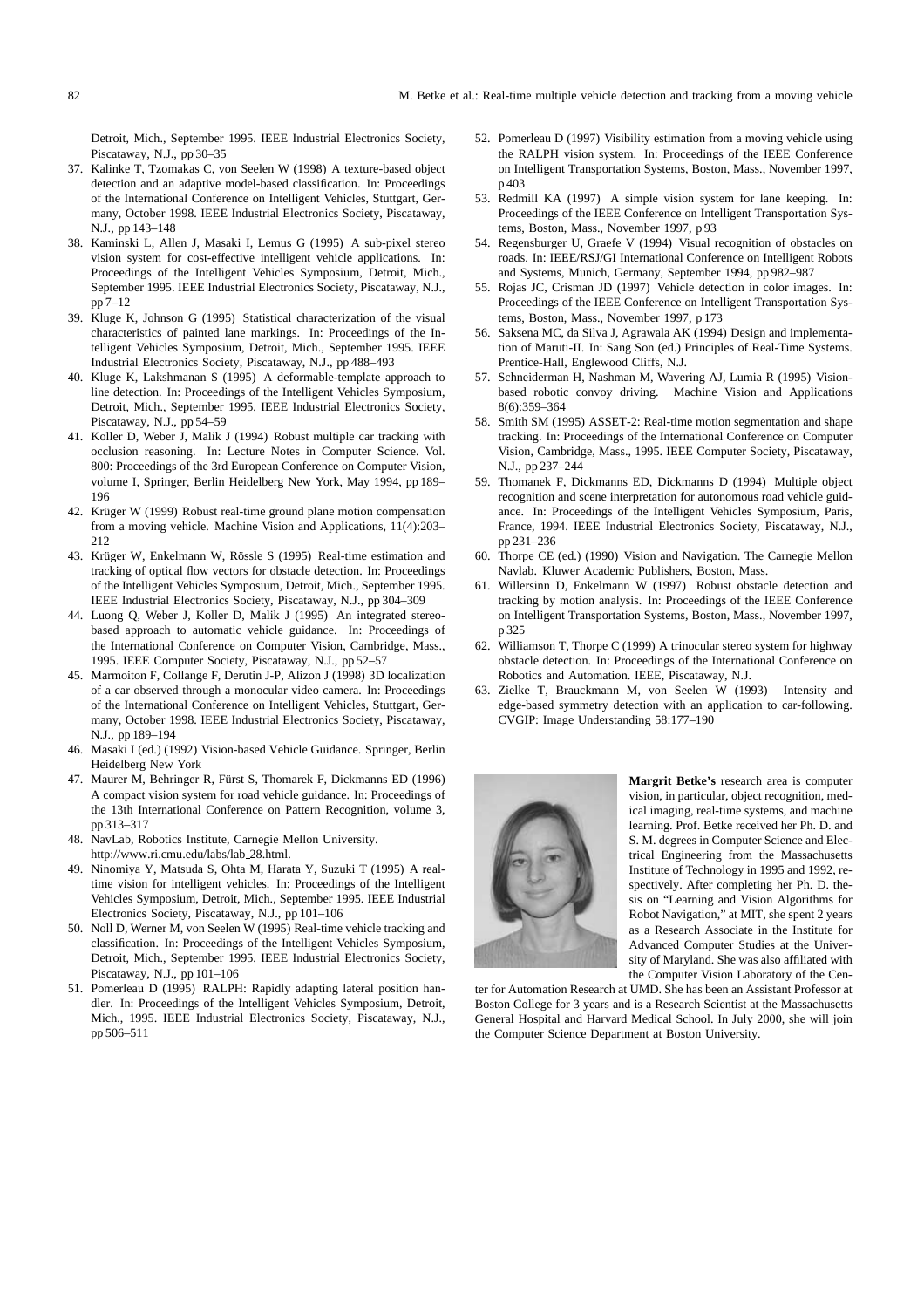Detroit, Mich., September 1995. IEEE Industrial Electronics Society, Piscataway, N.J., pp 30–35

- 37. Kalinke T, Tzomakas C, von Seelen W (1998) A texture-based object detection and an adaptive model-based classification. In: Proceedings of the International Conference on Intelligent Vehicles, Stuttgart, Germany, October 1998. IEEE Industrial Electronics Society, Piscataway, N.J., pp 143–148
- 38. Kaminski L, Allen J, Masaki I, Lemus G (1995) A sub-pixel stereo vision system for cost-effective intelligent vehicle applications. In: Proceedings of the Intelligent Vehicles Symposium, Detroit, Mich., September 1995. IEEE Industrial Electronics Society, Piscataway, N.J., pp 7–12
- 39. Kluge K, Johnson G (1995) Statistical characterization of the visual characteristics of painted lane markings. In: Proceedings of the Intelligent Vehicles Symposium, Detroit, Mich., September 1995. IEEE Industrial Electronics Society, Piscataway, N.J., pp 488–493
- 40. Kluge K, Lakshmanan S (1995) A deformable-template approach to line detection. In: Proceedings of the Intelligent Vehicles Symposium, Detroit, Mich., September 1995. IEEE Industrial Electronics Society, Piscataway, N.J., pp 54–59
- 41. Koller D, Weber J, Malik J (1994) Robust multiple car tracking with occlusion reasoning. In: Lecture Notes in Computer Science. Vol. 800: Proceedings of the 3rd European Conference on Computer Vision, volume I, Springer, Berlin Heidelberg New York, May 1994, pp 189– 196
- 42. Krüger W (1999) Robust real-time ground plane motion compensation from a moving vehicle. Machine Vision and Applications, 11(4):203– 212
- 43. Krüger W, Enkelmann W, Rössle S (1995) Real-time estimation and tracking of optical flow vectors for obstacle detection. In: Proceedings of the Intelligent Vehicles Symposium, Detroit, Mich., September 1995. IEEE Industrial Electronics Society, Piscataway, N.J., pp 304–309
- 44. Luong Q, Weber J, Koller D, Malik J (1995) An integrated stereobased approach to automatic vehicle guidance. In: Proceedings of the International Conference on Computer Vision, Cambridge, Mass., 1995. IEEE Computer Society, Piscataway, N.J., pp 52–57
- 45. Marmoiton F, Collange F, Derutin J-P, Alizon J (1998) 3D localization of a car observed through a monocular video camera. In: Proceedings of the International Conference on Intelligent Vehicles, Stuttgart, Germany, October 1998. IEEE Industrial Electronics Society, Piscataway, N.J., pp 189–194
- 46. Masaki I (ed.) (1992) Vision-based Vehicle Guidance. Springer, Berlin Heidelberg New York
- 47. Maurer M, Behringer R, Fürst S, Thomarek F, Dickmanns ED (1996) A compact vision system for road vehicle guidance. In: Proceedings of the 13th International Conference on Pattern Recognition, volume 3, pp 313–317
- 48. NavLab, Robotics Institute, Carnegie Mellon University. http://www.ri.cmu.edu/labs/lab 28.html.
- 49. Ninomiya Y, Matsuda S, Ohta M, Harata Y, Suzuki T (1995) A realtime vision for intelligent vehicles. In: Proceedings of the Intelligent Vehicles Symposium, Detroit, Mich., September 1995. IEEE Industrial Electronics Society, Piscataway, N.J., pp 101–106
- 50. Noll D, Werner M, von Seelen W (1995) Real-time vehicle tracking and classification. In: Proceedings of the Intelligent Vehicles Symposium, Detroit, Mich., September 1995. IEEE Industrial Electronics Society, Piscataway, N.J., pp 101–106
- 51. Pomerleau D (1995) RALPH: Rapidly adapting lateral position handler. In: Proceedings of the Intelligent Vehicles Symposium, Detroit, Mich., 1995. IEEE Industrial Electronics Society, Piscataway, N.J., pp 506–511
- 52. Pomerleau D (1997) Visibility estimation from a moving vehicle using the RALPH vision system. In: Proceedings of the IEEE Conference on Intelligent Transportation Systems, Boston, Mass., November 1997, p 403
- 53. Redmill KA (1997) A simple vision system for lane keeping. In: Proceedings of the IEEE Conference on Intelligent Transportation Systems, Boston, Mass., November 1997, p 93
- 54. Regensburger U, Graefe V (1994) Visual recognition of obstacles on roads. In: IEEE/RSJ/GI International Conference on Intelligent Robots and Systems, Munich, Germany, September 1994, pp 982–987
- 55. Rojas JC, Crisman JD (1997) Vehicle detection in color images. In: Proceedings of the IEEE Conference on Intelligent Transportation Systems, Boston, Mass., November 1997, p 173
- 56. Saksena MC, da Silva J, Agrawala AK (1994) Design and implementation of Maruti-II. In: Sang Son (ed.) Principles of Real-Time Systems. Prentice-Hall, Englewood Cliffs, N.J.
- 57. Schneiderman H, Nashman M, Wavering AJ, Lumia R (1995) Visionbased robotic convoy driving. Machine Vision and Applications 8(6):359–364
- 58. Smith SM (1995) ASSET-2: Real-time motion segmentation and shape tracking. In: Proceedings of the International Conference on Computer Vision, Cambridge, Mass., 1995. IEEE Computer Society, Piscataway, N.J., pp 237–244
- 59. Thomanek F, Dickmanns ED, Dickmanns D (1994) Multiple object recognition and scene interpretation for autonomous road vehicle guidance. In: Proceedings of the Intelligent Vehicles Symposium, Paris, France, 1994. IEEE Industrial Electronics Society, Piscataway, N.J., pp 231–236
- 60. Thorpe CE (ed.) (1990) Vision and Navigation. The Carnegie Mellon Navlab. Kluwer Academic Publishers, Boston, Mass.
- 61. Willersinn D, Enkelmann W (1997) Robust obstacle detection and tracking by motion analysis. In: Proceedings of the IEEE Conference on Intelligent Transportation Systems, Boston, Mass., November 1997, p 325
- 62. Williamson T, Thorpe C (1999) A trinocular stereo system for highway obstacle detection. In: Proceedings of the International Conference on Robotics and Automation. IEEE, Piscataway, N.J.
- 63. Zielke T, Brauckmann M, von Seelen W (1993) Intensity and edge-based symmetry detection with an application to car-following. CVGIP: Image Understanding 58:177–190



**Margrit Betke's** research area is computer vision, in particular, object recognition, medical imaging, real-time systems, and machine learning. Prof. Betke received her Ph. D. and S. M. degrees in Computer Science and Electrical Engineering from the Massachusetts Institute of Technology in 1995 and 1992, respectively. After completing her Ph. D. thesis on "Learning and Vision Algorithms for Robot Navigation," at MIT, she spent 2 years as a Research Associate in the Institute for Advanced Computer Studies at the University of Maryland. She was also affiliated with the Computer Vision Laboratory of the Cen-

ter for Automation Research at UMD. She has been an Assistant Professor at Boston College for 3 years and is a Research Scientist at the Massachusetts General Hospital and Harvard Medical School. In July 2000, she will join the Computer Science Department at Boston University.